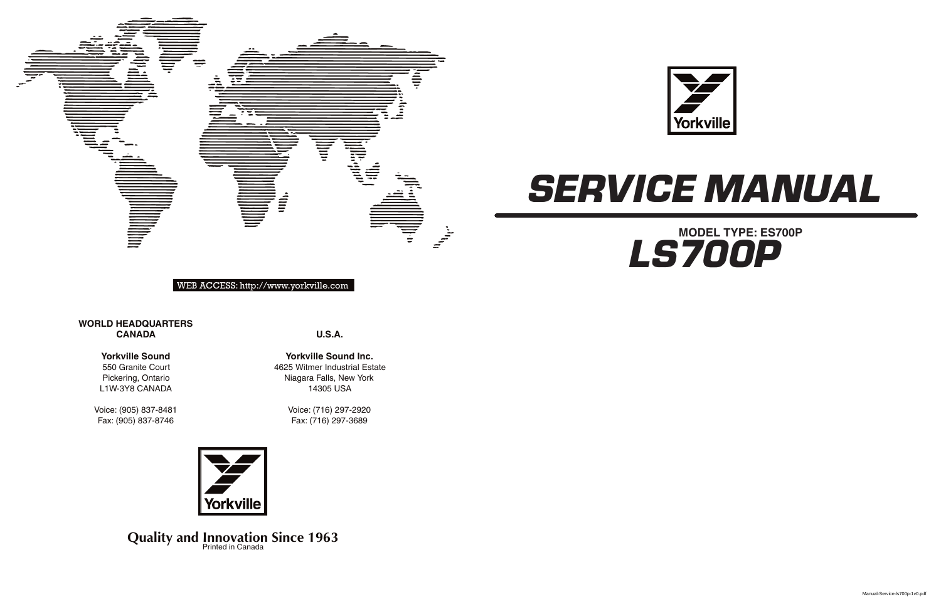**U.S.A.**

**Yorkville Sound Inc.** 4625 Witmer Industrial Estate Niagara Falls, New York 14305 USA

> Voice: (716) 297-2920 Fax: (716) 297-3689



**Quality and Innovation Since 1963** 

## **WORLD HEADQUARTERS CANADA**





WEB ACCESS: http://www.yorkville.com

## **Yorkville Sound**

550 Granite Court Pickering, Ontario L1W-3Y8 CANADA

Voice: (905) 837-8481 Fax: (905) 837-8746



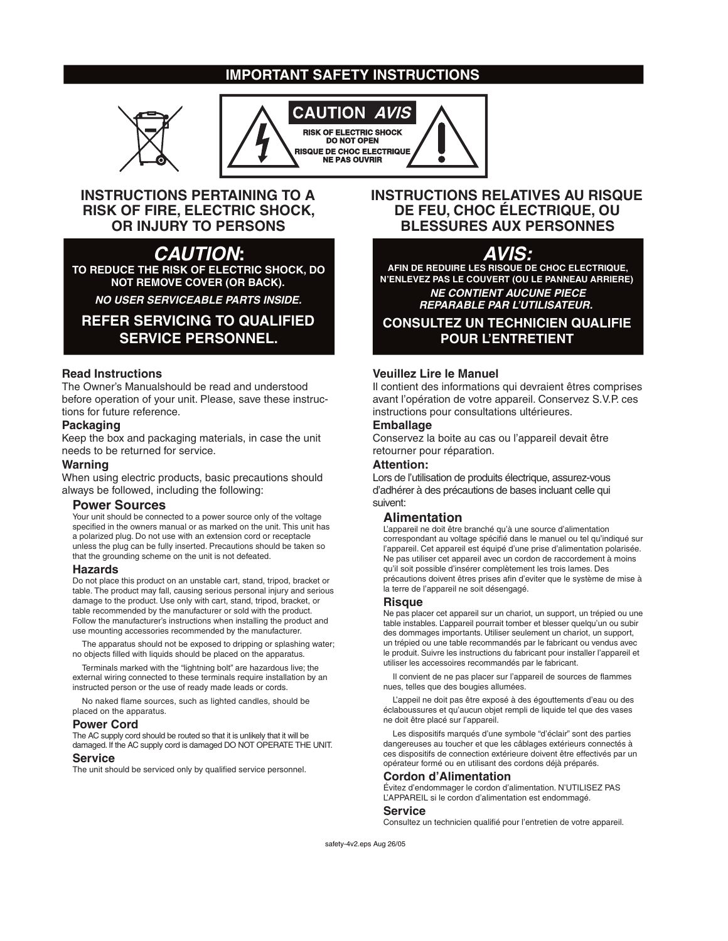## **IMPORTANT SAFETY INSTRUCTIONS**





## **INSTRUCTIONS PERTAINING TO A RISK OF FIRE, ELECTRIC SHOCK, OR INJURY TO PERSONS**

## **CAUTION:**

**TO REDUCE THE RISK OF ELECTRIC SHOCK, DO NOT REMOVE COVER (OR BACK).**

**NO USER SERVICEABLE PARTS INSIDE.**

## **REFER SERVICING TO QUALIFIED SERVICE PERSONNEL.**

## **Read Instructions**

The Owner's Manualshould be read and understood before operation of your unit. Please, save these instructions for future reference.

## **Packaging**

Keep the box and packaging materials, in case the unit needs to be returned for service.

## **Warning**

When using electric products, basic precautions should always be followed, including the following:

## **Power Sources**

Your unit should be connected to a power source only of the voltage specified in the owners manual or as marked on the unit. This unit has a polarized plug. Do not use with an extension cord or receptacle unless the plug can be fully inserted. Precautions should be taken so that the grounding scheme on the unit is not defeated.

#### **Hazards**

Do not place this product on an unstable cart, stand, tripod, bracket or table. The product may fall, causing serious personal injury and serious damage to the product. Use only with cart, stand, tripod, bracket, or table recommended by the manufacturer or sold with the product. Follow the manufacturer's instructions when installing the product and use mounting accessories recommended by the manufacturer.

The apparatus should not be exposed to dripping or splashing water; no objects filled with liquids should be placed on the apparatus.

Terminals marked with the "lightning bolt" are hazardous live; the external wiring connected to these terminals require installation by an instructed person or the use of ready made leads or cords.

No naked flame sources, such as lighted candles, should be placed on the apparatus.

#### **Power Cord**

The AC supply cord should be routed so that it is unlikely that it will be damaged. If the AC supply cord is damaged DO NOT OPERATE THE UNIT.

## **Service**

The unit should be serviced only by qualified service personnel.

## **INSTRUCTIONS RELATIVES AU RISQUE DE FEU, CHOC ÉLECTRIQUE, OU BLESSURES AUX PERSONNES**

## **AVIS:**

**AFIN DE REDUIRE LES RISQUE DE CHOC ELECTRIQUE, N'ENLEVEZ PAS LE COUVERT (OU LE PANNEAU ARRIERE) NE CONTIENT AUCUNE PIECE REPARABLE PAR L'UTILISATEUR.**

**CONSULTEZ UN TECHNICIEN QUALIFIE POUR L'ENTRETIENT**

## **Veuillez Lire le Manuel**

Il contient des informations qui devraient êtres comprises avant l'opération de votre appareil. Conservez S.V.P. ces instructions pour consultations ultérieures.

## **Emballage**

Conservez la boite au cas ou l'appareil devait être retourner pour réparation.

#### **Attention:**

Lors de l'utilisation de produits électrique, assurez-vous d'adhérer à des précautions de bases incluant celle qui suivent:

## **Alimentation**

L'appareil ne doit être branché qu'à une source d'alimentation correspondant au voltage spécifié dans le manuel ou tel qu'indiqué sur l'appareil. Cet appareil est équipé d'une prise d'alimentation polarisée. Ne pas utiliser cet appareil avec un cordon de raccordement à moins qu'il soit possible d'insérer complètement les trois lames. Des précautions doivent êtres prises afin d'eviter que le système de mise à la terre de l'appareil ne soit désengagé.

#### **Risque**

Ne pas placer cet appareil sur un chariot, un support, un trépied ou une table instables. L'appareil pourrait tomber et blesser quelqu'un ou subir des dommages importants. Utiliser seulement un chariot, un support, un trépied ou une table recommandés par le fabricant ou vendus avec le produit. Suivre les instructions du fabricant pour installer l'appareil et utiliser les accessoires recommandés par le fabricant.

Il convient de ne pas placer sur l'appareil de sources de flammes nues, telles que des bougies allumées.

L'appeil ne doit pas être exposé à des égouttements d'eau ou des éclaboussures et qu'aucun objet rempli de liquide tel que des vases ne doit être placé sur l'appareil.

Les dispositifs marqués d'une symbole "d'éclair" sont des parties dangereuses au toucher et que les câblages extérieurs connectés à ces dispositifs de connection extérieure doivent être effectivés par un opérateur formé ou en utilisant des cordons déjà préparés.

#### **Cordon d'Alimentation**

Évitez d'endommager le cordon d'alimentation. N'UTILISEZ PAS L'APPAREIL si le cordon d'alimentation est endommagé.

#### **Service**

Consultez un technicien qualifié pour l'entretien de votre appareil.

safety-4v2.eps Aug 26/05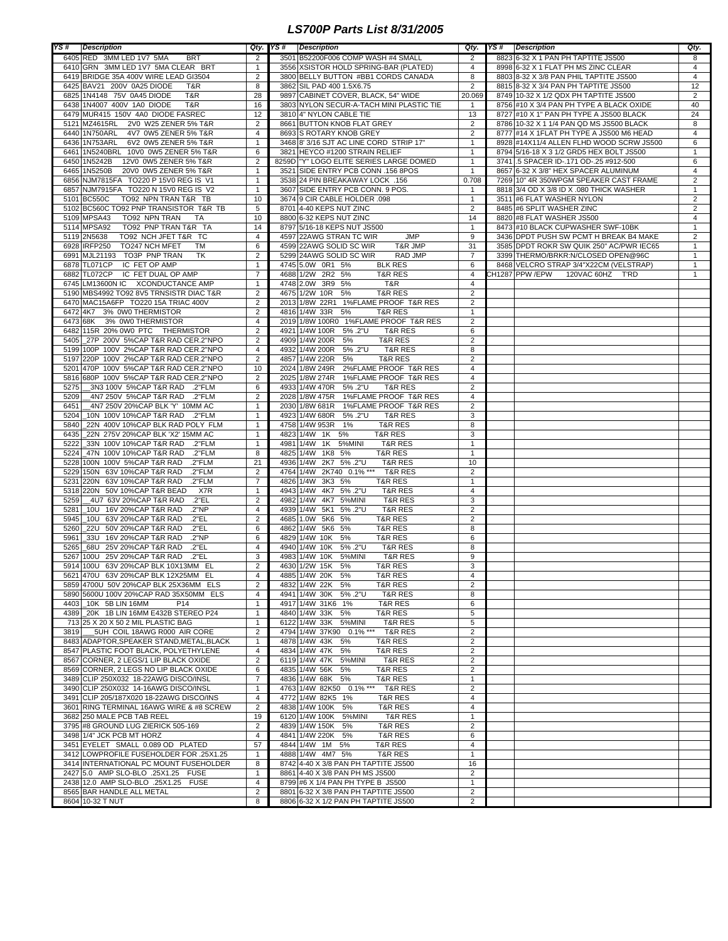## *LS700P Parts List 8/31/2005*

| YS#  | <b>Description</b>                                             | Qty.           | YS#<br><b>Description</b>                         |                | Qty. YS# Description                     | Qty.                                      |
|------|----------------------------------------------------------------|----------------|---------------------------------------------------|----------------|------------------------------------------|-------------------------------------------|
|      | 6405 RED 3MM LED 1V7 5MA<br><b>BRT</b>                         | 2              | 3501 B52200F006 COMP WASH #4 SMALL                | 2              | 8823 6-32 X 1 PAN PH TAPTITE JS500       | 8                                         |
|      | 6410 GRN 3MM LED 1V7 5MA CLEAR BRT                             | $\mathbf{1}$   | 3556 XSISTOR HOLD SPRING-BAR (PLATED)             | 4              | 8998 6-32 X 1 FLAT PH MS ZINC CLEAR      | 4                                         |
|      | 6419 BRIDGE 35A 400V WIRE LEAD GI3504                          | 2              | 3800 BELLY BUTTON #BB1 CORDS CANADA               | 8              | 8803 8-32 X 3/8 PAN PHIL TAPTITE JS500   | $\overline{4}$                            |
|      | 6425 BAV21 200V 0A25 DIODE<br>T&R                              | 8              | 3862 SIL PAD 400 1.5X6.75                         | $\overline{2}$ | 8815 8-32 X 3/4 PAN PH TAPTITE JS500     | 12                                        |
|      | 6825 1N4148 75V 0A45 DIODE<br>T&R                              | 28             | 9897 CABINET COVER, BLACK, 54" WIDE               | 20.069         | 8749 10-32 X 1/2 QDX PH TAPTITE JS500    | $\overline{2}$                            |
|      | 6438 1N4007 400V 1A0 DIODE<br>T&R                              | 16             | 3803 NYLON SECUR-A-TACH MINI PLASTIC TIE          | $\mathbf{1}$   | 8756 #10 X 3/4 PAN PH TYPE A BLACK OXIDE | 40                                        |
|      | 6479 MUR415 150V 4A0 DIODE FASREC                              | 12             | 3810 4" NYLON CABLE TIE                           | 13             | 8727 #10 X 1" PAN PH TYPE A JS500 BLACK  | 24                                        |
|      | 5121 MZ4615RL 2V0 W25 ZENER 5% T&R                             | 2              | 8661 BUTTON KNOB FLAT GREY                        | $\overline{2}$ | 8786 10-32 X 1 1/4 PAN QD MS JS500 BLACK | 8                                         |
|      | 6440 1N750ARL<br>4V7 0W5 ZENER 5% T&R                          | 4              | 8693 S ROTARY KNOB GREY                           | $\overline{2}$ | 8777 #14 X 1FLAT PH TYPE A JS500 M6 HEAD | $\overline{4}$                            |
|      | 6436 1N753ARL<br>6V2 0W5 ZENER 5% T&R                          | $\mathbf{1}$   | 3468 8' 3/16 SJT AC LINE CORD STRIP 17"           | $\mathbf{1}$   | 8928 #14X11/4 ALLEN FLHD WOOD SCRW JS500 | 6                                         |
|      | 6461 1N5240BRL 10V0 0W5 ZENER 5% T&R                           | 6              | 3821 HEYCO #1200 STRAIN RELIEF                    | $\mathbf{1}$   | 8794 5/16-18 X 3 1/2 GRD5 HEX BOLT JS500 | $\mathbf{1}$                              |
|      | 6450 1N5242B<br>12V0 0W5 ZENER 5% T&R                          | 2              | 8259D   "Y" LOGO ELITE SERIES LARGE DOMED         | $\mathbf{1}$   | 3741 5 SPACER ID-.171 OD-.25 #912-500    | 6                                         |
|      | 6465 1N5250B<br>20V0 0W5 ZENER 5% T&R                          | $\mathbf{1}$   | 3521 SIDE ENTRY PCB CONN .156 8POS                | $\mathbf{1}$   | 8657 6-32 X 3/8" HEX SPACER ALUMINUM     | $\overline{4}$                            |
|      | 6856 NJM7815FA TO220 P 15V0 REG IS V1                          | $\mathbf{1}$   | 3538 24 PIN BREAKAWAY LOCK .156                   | 0.708          | 7269 10" 4R 350WPGM SPEAKER CAST FRAME   | $\overline{2}$                            |
|      | 6857 NJM7915FA TO220 N 15V0 REG IS V2                          | $\overline{1}$ | 3607 SIDE ENTRY PCB CONN, 9 POS.                  | 1              | 8818 3/4 OD X 3/8 ID X .080 THICK WASHER | $\mathbf{1}$                              |
|      | 5101 BC550C                                                    | 10             |                                                   | $\mathbf{1}$   |                                          |                                           |
|      | TO92 NPN TRAN T&R TB<br>5102 BC560C TO92 PNP TRANSISTOR T&R TB |                | 3674 9 CIR CABLE HOLDER .098                      |                | 3511 #6 FLAT WASHER NYLON                | $\overline{\mathbf{c}}$<br>$\overline{2}$ |
|      |                                                                | 5              | 8701 4-40 KEPS NUT ZINC                           | $\overline{2}$ | 8485 #6 SPLIT WASHER ZINC                |                                           |
|      | 5109 MPSA43<br>TO92 NPN TRAN<br>TA                             | 10             | 8800 6-32 KEPS NUT ZINC                           | 14             | 8820 #8 FLAT WASHER JS500                | $\overline{4}$                            |
|      | 5114 MPSA92<br>TO92 PNP TRAN T&R TA                            | 14             | 8797 5/16-18 KEPS NUT JS500                       | $\mathbf{1}$   | 8473 #10 BLACK CUPWASHER SWF-10BK        | $\mathbf{1}$                              |
|      | 5119 2N5638<br>TO92 NCH JFET T&R TC                            | 4              | 4597 22AWG STRAN TC WIR<br><b>JMP</b>             | 9              | 3436 DPDT PUSH SW PCMT H BREAK B4 MAKE   | $\overline{\mathbf{c}}$                   |
|      | 6928 IRFP250<br>TO247 NCH MFET<br>TM                           | 6              | 4599 22AWG SOLID SC WIR<br>T&R JMP                | 31             | 3585 DPDT ROKR SW QUIK 250" AC/PWR IEC65 | $\mathbf{1}$                              |
|      | 6991 MJL21193<br>TO3P PNP TRAN<br><b>TK</b>                    | $\overline{2}$ | 5299 24AWG SOLID SC WIR<br><b>RAD JMP</b>         | $\overline{7}$ | 3399 THERMO/BRKR:N/CLOSED OPEN@96C       | $\mathbf{1}$                              |
|      | 6878 TL071CP<br>IC FET OP AMP                                  | $\mathbf{1}$   | 4745 5.0W 0R1 5%<br><b>BLK RES</b>                | 6              | 8468 VELCRO STRAP 3/4"X22CM (VELSTRAP)   | $\mathbf{1}$                              |
|      | 6882 TL072CP<br>IC FET DUAL OP AMP                             | $\overline{7}$ | 4688 1/2W 2R2 5%<br><b>T&amp;R RES</b>            | $\overline{4}$ | CH1287 PPW /EPW<br>120VAC 60HZ<br>T'RD   | $\mathbf{1}$                              |
|      | 6745 LM13600N IC XCONDUCTANCE AMP                              | $\mathbf{1}$   | 4748 2.0W 3R9 5%<br>T&R                           | $\overline{4}$ |                                          |                                           |
|      | 5190 MBS4992 TO92 8V5 TRNSISTR DIAC T&R                        | $\overline{2}$ | 4675 1/2W 10R 5%<br><b>T&amp;R RES</b>            | $\overline{2}$ |                                          |                                           |
|      | 6470 MAC15A6FP TO220 15A TRIAC 400V                            | 2              | 2013 1/8W 22R1 1%FLAME PROOF T&R RES              | 2              |                                          |                                           |
|      | 6472 4K7 3% 0W0 THERMISTOR                                     | 2              | 4816 1/4W 33R<br>5%<br><b>T&amp;R RES</b>         | $\mathbf{1}$   |                                          |                                           |
|      | 6473 68K 3% 0W0 THERMISTOR                                     | $\overline{4}$ | 2019 1/8W 100R0 1% FLAME PROOF T&R RES            | $\overline{2}$ |                                          |                                           |
|      | 6482 115R 20% 0W0 PTC THERMISTOR                               | $\overline{2}$ | 4921 1/4W 100R<br>5% .2"U<br><b>T&amp;R RES</b>   | 6              |                                          |                                           |
|      | 5405 27P 200V 5%CAP T&R RAD CER.2"NPO                          | $\overline{2}$ | 4909 1/4W 200R<br>5%<br><b>T&amp;R RES</b>        | $\overline{2}$ |                                          |                                           |
|      | 5199 100P 100V 2%CAP T&R RAD CER.2"NPO                         | 4              | 4932 1/4W 200R<br>5% .2"U<br><b>T&amp;R RES</b>   | 8              |                                          |                                           |
|      | 5197 220P 100V 2%CAP T&R RAD CER.2"NPO                         | 2              | 4857 1/4W 220R<br>5%<br><b>T&amp;R RES</b>        | $\overline{2}$ |                                          |                                           |
|      | 5201 470P 100V 5%CAP T&R RAD CER.2"NPO                         | 10             | 2024 1/8W 249R 2%FLAME PROOF T&R RES              | 4              |                                          |                                           |
|      | 5816 680P 100V 5%CAP T&R RAD CER.2"NPO                         | $\overline{2}$ | 2025 1/8W 274R 1%FLAME PROOF T&R RES              | 4              |                                          |                                           |
| 5275 | 2"FLM. 3N3 100V 5%CAP T&R RAD.                                 | 6              | 4933 1/4W 470R<br>5% .2"U<br><b>T&amp;R RES</b>   | $\overline{2}$ |                                          |                                           |
| 5209 | 4N7 250V 5%CAP T&R RAD<br>.2"FLM                               | $\overline{2}$ | 2028 1/8W 475R 1%FLAME PROOF T&R RES              | 4              |                                          |                                           |
| 6451 | 4N7 250V 20%CAP BLK 'Y' 10MM AC                                | $\mathbf{1}$   | 2030 1/8W 681R<br>1%FLAME PROOF T&R RES           | $\overline{2}$ |                                          |                                           |
| 5204 | 10N 100V 10%CAP T&R RAD .2"FLM                                 | $\mathbf{1}$   | 4923 1/4W 680R<br>5% .2"U<br><b>T&amp;R RES</b>   | 3              |                                          |                                           |
| 5840 | 22N 400V 10%CAP BLK RAD POLY FLM                               | $\overline{1}$ | 4758 1/4W 953R<br>1%<br><b>T&amp;R RES</b>        | 8              |                                          |                                           |
| 6435 | 22N 275V 20%CAP BLK 'X2' 15MM AC                               | $\mathbf{1}$   | 4823 1/4W 1K<br>5%<br><b>T&amp;R RES</b>          | 3              |                                          |                                           |
| 5222 | 33N 100V 10%CAP T&R RAD<br>.2"FLM                              | $\mathbf{1}$   | 1K<br>4981 1/4W<br>5%MINI<br>T&R RES              | $\mathbf{1}$   |                                          |                                           |
| 5224 | .2"FLM<br>47N 100V 10%CAP T&R RAD                              | 8              | 4825 1/4W<br><b>T&amp;R RES</b><br>1K8 5%         | $\mathbf{1}$   |                                          |                                           |
|      | 5228 100N 100V 5%CAP T&R RAD<br>.2"FLM                         | 21             | 2K7 5% .2"U<br>4936 1/4W<br><b>T&amp;R RES</b>    | 10             |                                          |                                           |
|      |                                                                |                |                                                   |                |                                          |                                           |
| 5229 | 150N 63V 10%CAP T&R RAD<br>.2"FLM                              | 2              | 2K740 0.1% ***<br>4764 1/4W<br><b>T&amp;R RES</b> | $\overline{2}$ |                                          |                                           |
|      | 5231 220N 63V 10%CAP T&R RAD<br>.2"FLM                         | $\overline{7}$ | 4826 1/4W<br>3K3 5%<br>T&R RES                    | $\mathbf{1}$   |                                          |                                           |
|      | 5318 220N 50V 10%CAP T&R BEAD<br>X7R                           | $\overline{1}$ | 4K7 5% .2"U<br>4943 1/4W<br><b>T&amp;R RES</b>    | $\overline{4}$ |                                          |                                           |
| 5259 | _4U7 63V 20%CAP T&R RAD<br>.2"EL                               | 2              | 4K7<br>4982 1/4W<br>5%MINI<br><b>T&amp;R RES</b>  | 3              |                                          |                                           |
| 5281 | 10U 16V 20%CAP T&R RAD<br>.2"NP                                | $\overline{4}$ | 5% .2"U<br>4939 1/4W<br>5K1<br><b>T&amp;R RES</b> | $\overline{2}$ |                                          |                                           |
| 5945 | 10U 63V 20% CAP T&R RAD<br>.2"EL                               | 2              | 4685 1.0W<br>5K6<br>5%<br><b>T&amp;R RES</b>      | $\overline{2}$ |                                          |                                           |
| 5260 | 22U 50V 20% CAP T&R RAD<br>.2"EL                               | 6              | 4862 1/4W<br>5K6<br>5%<br><b>T&amp;R RES</b>      | 8              |                                          |                                           |
| 5961 | 33U 16V 20% CAP T&R RAD<br>.2"NP                               | 6              | 4829 1/4W 10K<br>5%<br><b>T&amp;R RES</b>         | 6              |                                          |                                           |
| 5265 | 68U 25V 20% CAP T&R RAD<br>.2"EL                               | $\overline{4}$ | 4940 1/4W 10K<br>5% .2"U<br><b>T&amp;R RES</b>    | 8              |                                          |                                           |
| 5267 | 100U 25V 20%CAP T&R RAD<br>.2"EL                               | 3              | 4983 1/4W 10K<br>5%MINI<br><b>T&amp;R RES</b>     | 9              |                                          |                                           |
|      | 5914 100U 63V 20%CAP BLK 10X13MM EL                            | $\overline{2}$ | 4630 1/2W 15K<br>5%<br><b>T&amp;R RES</b>         | 3              |                                          |                                           |
|      | 5621 470U 63V 20%CAP BLK 12X25MM EL                            | 4              | 4885 1/4W 20K 5%<br><b>I&amp;R RES</b>            | 4              |                                          |                                           |
|      | 5859 4700U 50V 20%CAP BLK 25X36MM ELS                          | $\overline{2}$ | 4832 1/4W 22K 5%<br><b>T&amp;R RES</b>            | $\overline{2}$ |                                          |                                           |
|      | 5890 5600U 100V 20%CAP RAD 35X50MM ELS                         | 4              | 4941 1/4W 30K 5% .2"U<br><b>T&amp;R RES</b>       | 8              |                                          |                                           |
|      | 4403 10K 5B LIN 16MM<br>P <sub>14</sub>                        | $\mathbf{1}$   | 4917 1/4W 31K6 1%<br><b>T&amp;R RES</b>           | 6              |                                          |                                           |
|      | 4389 20K 1B LIN 16MM E432B STEREO P24                          | $\mathbf{1}$   | 4840 1/4W 33K 5%<br><b>T&amp;R RES</b>            | 5              |                                          |                                           |
|      | 713 25 X 20 X 50 2 MIL PLASTIC BAG                             | $\mathbf{1}$   | 6122 1/4W 33K 5%MINI<br><b>T&amp;R RES</b>        | 5              |                                          |                                           |
| 3819 | 5UH COIL 18AWG R000 AIR CORE                                   | $\overline{2}$ | 4794 1/4W 37K90 0.1% *** T&R RES                  | $\overline{2}$ |                                          |                                           |
|      | 8483 ADAPTOR, SPEAKER STAND, METAL, BLACK                      | $\mathbf{1}$   | 4878 1/4W 43K 5%<br><b>T&amp;R RES</b>            | $\overline{c}$ |                                          |                                           |
|      | 8547 PLASTIC FOOT BLACK, POLYETHYLENE                          | 4              | 4834 1/4W 47K 5%<br><b>T&amp;R RES</b>            | $\overline{2}$ |                                          |                                           |
|      | 8567 CORNER, 2 LEGS/1 LIP BLACK OXIDE                          | $\overline{2}$ | 6119 1/4W 47K 5%MINI<br><b>T&amp;R RES</b>        | $\overline{2}$ |                                          |                                           |
|      | 8569 CORNER, 2 LEGS NO LIP BLACK OXIDE                         | 6              | 4835 1/4W 56K 5%<br><b>T&amp;R RES</b>            | $\overline{c}$ |                                          |                                           |
|      | 3489 CLIP 250X032 18-22AWG DISCO/INSL                          | 7              | 4836 1/4W 68K 5%<br><b>T&amp;R RES</b>            | $\mathbf{1}$   |                                          |                                           |
|      | 3490 CLIP 250X032 14-16AWG DISCO/INSL                          | $\overline{1}$ | 4763 1/4W 82K50 0.1% *** T&R RES                  | $\overline{2}$ |                                          |                                           |
|      | 3491 CLIP 205/187X020 18-22AWG DISCO/INS                       | $\overline{4}$ | 4772 1/4W 82K5 1%<br><b>T&amp;R RES</b>           | $\overline{4}$ |                                          |                                           |
|      | 3601 RING TERMINAL 16AWG WIRE & #8 SCREW                       | $\overline{2}$ | 4838 1/4W 100K 5%<br><b>T&amp;R RES</b>           | 4              |                                          |                                           |
|      | 3682 250 MALE PCB TAB REEL                                     | 19             | 6120 1/4W 100K 5%MINI<br><b>T&amp;R RES</b>       | $\mathbf{1}$   |                                          |                                           |
|      |                                                                |                | 4839 1/4W 150K 5%                                 |                |                                          |                                           |
|      | 3795 #8 GROUND LUG ZIERICK 505-169                             | 2              | <b>T&amp;R RES</b>                                | $\overline{2}$ |                                          |                                           |
|      | 3498 1/4" JCK PCB MT HORZ                                      | 4              | 4841 1/4W 220K 5%<br><b>T&amp;R RES</b>           | 6              |                                          |                                           |
|      | 3451 EYELET SMALL 0.089 OD PLATED                              | 57             | 4844 1/4W 1M 5%<br>T&R RES                        | 4              |                                          |                                           |
|      | 3412 LOWPROFILE FUSEHOLDER FOR .25X1.25                        | $\mathbf{1}$   | 4888 1/4W 4M7 5%<br><b>T&amp;R RES</b>            | $\mathbf{1}$   |                                          |                                           |
|      | 3414 INTERNATIONAL PC MOUNT FUSEHOLDER                         | 8              | 8742 4-40 X 3/8 PAN PH TAPTITE JS500              | 16             |                                          |                                           |
|      | 2427 5.0 AMP SLO-BLO .25X1.25 FUSE                             | $\mathbf{1}$   | 8861 4-40 X 3/8 PAN PH MS JS500                   | $\overline{2}$ |                                          |                                           |
|      | 2438 12.0 AMP SLO-BLO .25X1.25 FUSE                            | 4              | 8799 #6 X 1/4 PAN PH TYPE B JS500                 | $\mathbf{1}$   |                                          |                                           |
|      | 8565 BAR HANDLE ALL METAL                                      | $\overline{2}$ | 8801 6-32 X 3/8 PAN PH TAPTITE JS500              | $\overline{2}$ |                                          |                                           |
|      | 8604 10-32 T NUT                                               | 8              | 8806 6-32 X 1/2 PAN PH TAPTITE JS500              | $\overline{2}$ |                                          |                                           |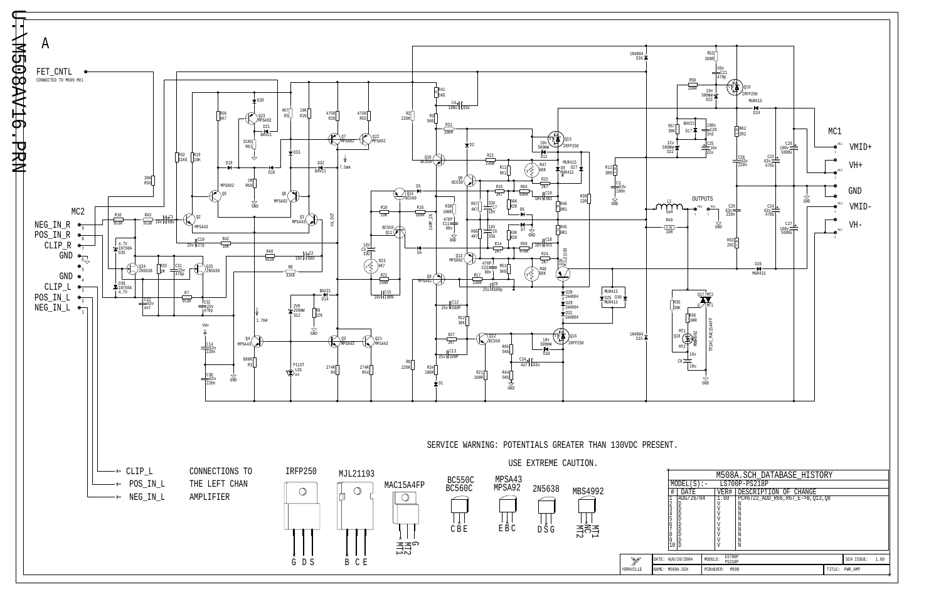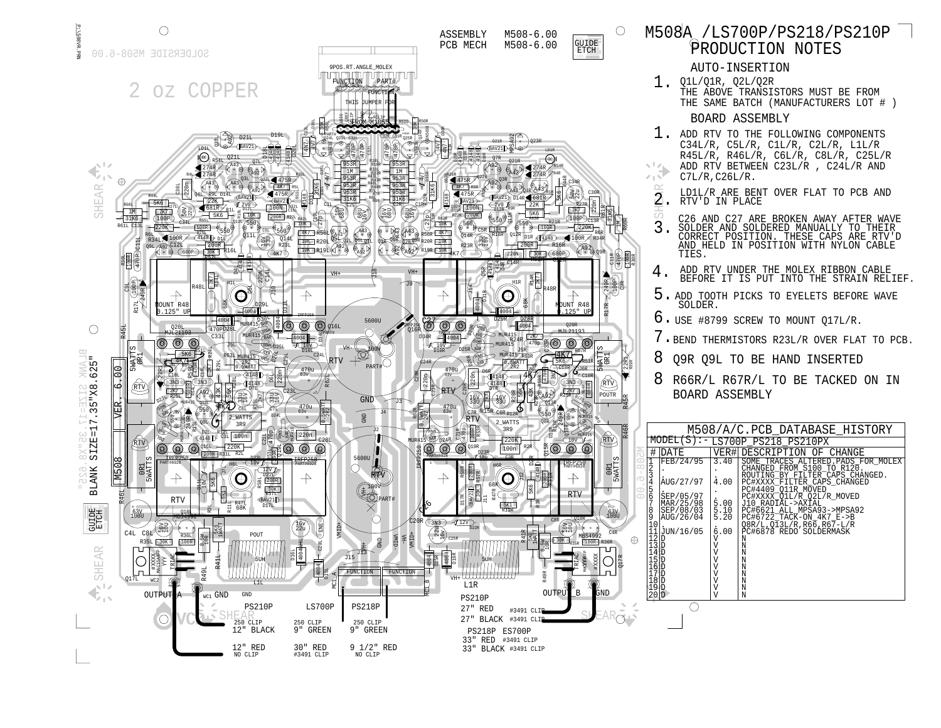RTV

|                     |                                                                       | LD1L/R ARE BENT OVER FLAT TO PCB AND<br>RTV'D IN PLACE                                                                                                                      |                             |                                                                                                                          |            |                                     |  |
|---------------------|-----------------------------------------------------------------------|-----------------------------------------------------------------------------------------------------------------------------------------------------------------------------|-----------------------------|--------------------------------------------------------------------------------------------------------------------------|------------|-------------------------------------|--|
| $\frac{1000}{R30R}$ | $\frac{2}{3}$                                                         | C26 AND C27 ARE BROKEN AWAY AFTER WAVE<br>SOLDER AND SOLDERED MANUALLY TO THEIR<br>CORRECT POSITION. THESE CAPS ARE RTV'D<br>AND HELD IN POSITION WITH NYLON CABLE<br>TIES. |                             |                                                                                                                          |            |                                     |  |
|                     | 4.                                                                    | ADD RTV UNDER THE MOLEX RIBBON CABLE<br>BEFORE IT IS PUT INTO THE STRAIN RELIEF                                                                                             |                             |                                                                                                                          |            |                                     |  |
|                     | 5.                                                                    | ADD TOOTH PICKS TO EYELETS BEFORE WAVE<br>SOLDER.                                                                                                                           |                             |                                                                                                                          |            |                                     |  |
|                     |                                                                       | $6.$ USE #8799 SCREW TO MOUNT Q17L/R.                                                                                                                                       |                             |                                                                                                                          |            |                                     |  |
|                     |                                                                       | 7. BEND THERMISTORS R23L/R OVER FLAT TO PCE                                                                                                                                 |                             |                                                                                                                          |            |                                     |  |
| R39R                | 8                                                                     | Q9R Q9L TO BE HAND INSERTED                                                                                                                                                 |                             |                                                                                                                          |            |                                     |  |
|                     | 8                                                                     | R66R/L R67R/L TO BE TACKED ON IN<br><b>BOARD ASSEMBLY</b>                                                                                                                   |                             |                                                                                                                          |            |                                     |  |
|                     |                                                                       | M508/A/C.PCB DATABASE HISTORY                                                                                                                                               |                             |                                                                                                                          |            |                                     |  |
|                     |                                                                       | $MODEL(S)$ : - LS700P_PS218_PS210PX                                                                                                                                         |                             |                                                                                                                          |            |                                     |  |
| ΓU                  | # DATE<br>Ħ<br>FEB/24/95                                              | 3.40                                                                                                                                                                        | VER# DESCRIPTION OF CHANGE  |                                                                                                                          |            | SOME TRACES ALTERED. PADS FOR MOLEX |  |
| $\infty$<br>∕○      | 123456<br>AUG/27/97                                                   | 4.00                                                                                                                                                                        |                             | CHANGED FROM S100 TO R120.<br>ROUTING_BY_FTLTER_CAPS_CHANGED.<br>PC#XXXX_FILTER_CAPS_CHANGED<br>PC#4409_Q11R_MOVED       |            |                                     |  |
|                     | SEP/05/97<br>7<br>MAR/25/98<br>8<br>SEP/08/03<br>ğ<br>10<br>AUG/26/04 | 5.00<br>5.10<br>5.20                                                                                                                                                        |                             | PC#XXXX_Q1L/R_Q2L/R_MOVED<br>J10 RADIAL->AXIAL<br>$PC\frac{1}{6}621$ _ALL_MPSA93->MPSA92<br>$PC#6722$ TACK-ON $4K7$ E->B |            |                                     |  |
|                     | JUN/16/05<br>1<br>1<br>12345<br>12345<br>12567<br>1267<br>1289        | 6.00<br>V<br>V<br>V<br>V<br>V                                                                                                                                               | N<br>N<br>N<br>N            | $Q8R/L$ , $Q\overline{1}3L/R$ , $R6\overline{6}$ , $R6\overline{7}$ -L/R<br>PC#6878 REDO                                 | SOLDERMASK |                                     |  |
|                     | 20D                                                                   | V<br>V<br>V<br>V                                                                                                                                                            | N<br>N<br>N<br>N<br>$\rm N$ |                                                                                                                          |            |                                     |  |
| $\sim$              |                                                                       |                                                                                                                                                                             |                             |                                                                                                                          |            |                                     |  |

 $R17R \rightarrow 249R$ 

31K6

R46R

0R1 5WATTS

Q17R

- $1$  . ADD RTV TO THE FOLLOWING COMPONENTS C34L/R, C5L/R, C1L/R, C2L/R, L1L/R R45L/R, R46L/R, C6L/R, C8L/R, C25L/R ADD RTV BETWEEN C23L/R , C24L/R AND  $C7L/R$ ,  $C26L/R$ .
	- RTV'D IN PLACE LD1L/R ARE BENT OVER FLAT TO PCB AND 2.
- $\mathcal{O}_{2}$ C26 AND C27 ARE BROKEN AWAY AFTER WAVE 3.SOLDER AND SOLDERED MANUALLY TO THEIR CORRECT POSITION. THESE CAPS ARE RTV'D AND HELD IN POSITION WITH NYLON CABLE TIES.
- BEFORE IT IS PUT INTO THE STRAIN RELIEF. ADD RTV UNDER THE MOLEX RIBBON CABLE 4.
- 5. ADD TOOTH PICKS TO EYELETS BEFORE WAVE SOLDER.
- 6. USE #8799 SCREW TO MOUNT Q17L/R.
- 7.BEND THERMISTORS R23L/R OVER FLAT TO PCB.
- 8Q9R Q9L TO BE HAND INSERTED
- 8

 $1$  , Q1L/Q1R, Q2L/Q2R THE SAME BATCH (MANUFACTURERS LOT # ) THE ABOVE TRANSISTORS MUST BE FROM

R45R

0R1

C11R 470P

 $\frac{100}{\text{CB}}$ 

C4R

63V 100U

100R R30R

R60R 1M

 $\bigcirc$ 

RTV

22R1 R39R

# BOARD ASSEMBLY

AUTO-INSERTION

# PRODUCTION NOTES M508A /LS700P/PS218/PS210P

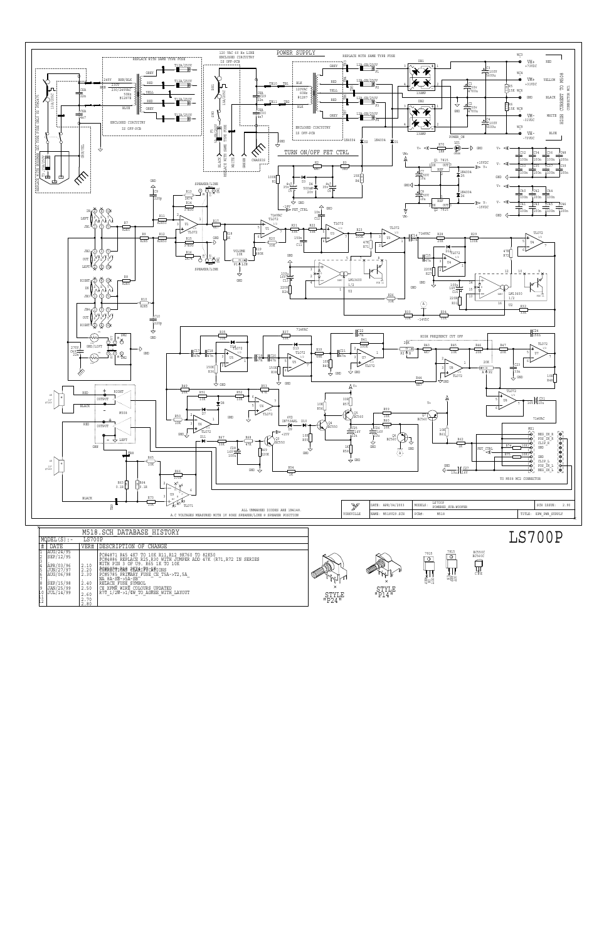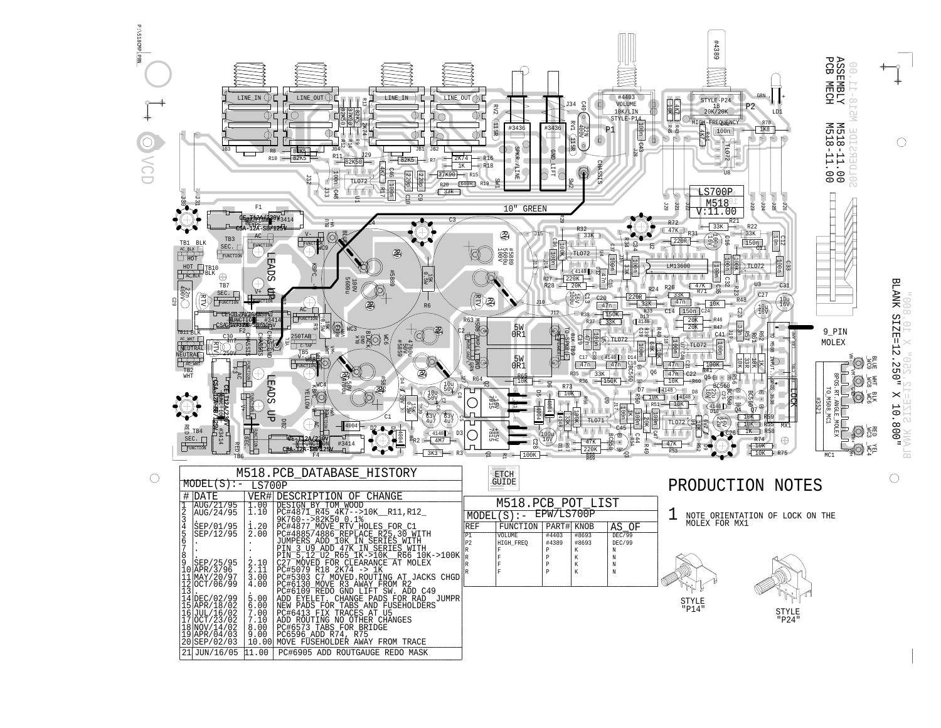VCD

P:\518CMP.pRN \518CMP. PRN

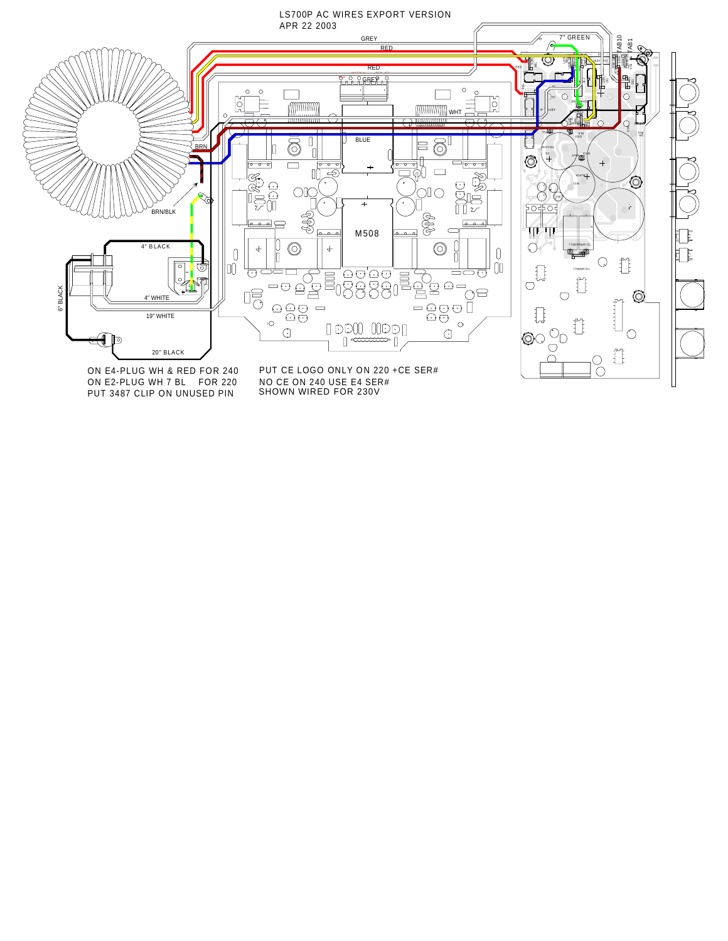

PUT 3487 CLIP ON UNUSED PIN

SHOWN WIRED FOR 230V